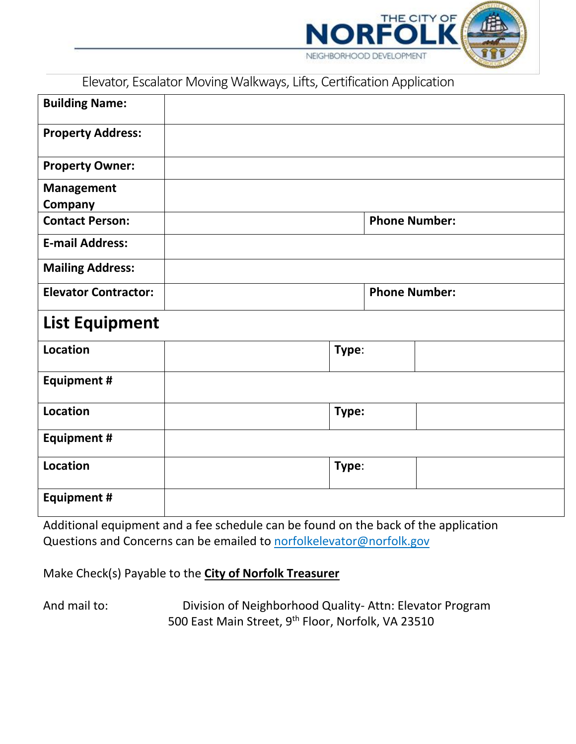

Elevator, Escalator Moving Walkways, Lifts, Certification Application

| <b>Building Name:</b>        |       |                      |
|------------------------------|-------|----------------------|
| <b>Property Address:</b>     |       |                      |
| <b>Property Owner:</b>       |       |                      |
| <b>Management</b><br>Company |       |                      |
| <b>Contact Person:</b>       |       | <b>Phone Number:</b> |
| <b>E-mail Address:</b>       |       |                      |
| <b>Mailing Address:</b>      |       |                      |
| <b>Elevator Contractor:</b>  |       | <b>Phone Number:</b> |
| <b>List Equipment</b>        |       |                      |
| <b>Location</b>              | Type: |                      |
| <b>Equipment #</b>           |       |                      |
| <b>Location</b>              | Type: |                      |
| <b>Equipment #</b>           |       |                      |
| <b>Location</b>              | Type: |                      |
| <b>Equipment #</b>           |       |                      |

Additional equipment and a fee schedule can be found on the back of the application Questions and Concerns can be emailed to norfolkelevator@norfolk.gov

Make Check(s) Payable to the **City of Norfolk Treasurer** 

And mail to: Division of Neighborhood Quality- Attn: Elevator Program 500 East Main Street, 9<sup>th</sup> Floor, Norfolk, VA 23510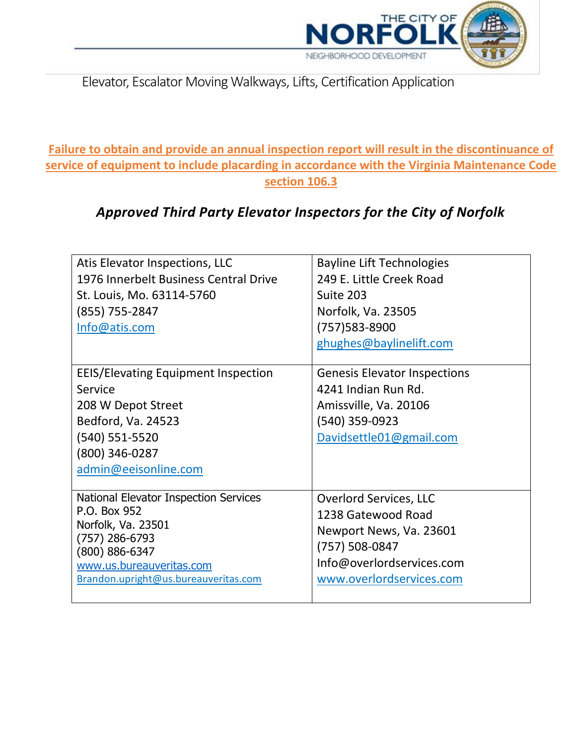

Elevator, Escalator Moving Walkways, Lifts, Certification Application

**Failure to obtain and provide an annual inspection report will result in the discontinuance of service of equipment to include placarding in accordance with the Virginia Maintenance Code section 106.3**

## *Approved Third Party Elevator Inspectors for the City of Norfolk*

| Atis Elevator Inspections, LLC<br>1976 Innerbelt Business Central Drive<br>St. Louis, Mo. 63114-5760<br>(855) 755-2847<br>Info@atis.com                                                 | <b>Bayline Lift Technologies</b><br>249 E. Little Creek Road<br>Suite 203<br>Norfolk, Va. 23505<br>(757) 583-8900<br>ghughes@baylinelift.com              |
|-----------------------------------------------------------------------------------------------------------------------------------------------------------------------------------------|-----------------------------------------------------------------------------------------------------------------------------------------------------------|
| <b>EEIS/Elevating Equipment Inspection</b><br>Service<br>208 W Depot Street<br>Bedford, Va. 24523<br>(540) 551-5520<br>(800) 346-0287<br>admin@eeisonline.com                           | <b>Genesis Elevator Inspections</b><br>4241 Indian Run Rd.<br>Amissville, Va. 20106<br>(540) 359-0923<br>Davidsettle01@gmail.com                          |
| National Elevator Inspection Services<br>P.O. Box 952<br>Norfolk, Va. 23501<br>(757) 286-6793<br>$(800) 886 - 6347$<br>www.us.bureauveritas.com<br>Brandon.upright@us.bureauveritas.com | <b>Overlord Services, LLC</b><br>1238 Gatewood Road<br>Newport News, Va. 23601<br>(757) 508-0847<br>Info@overlordservices.com<br>www.overlordservices.com |